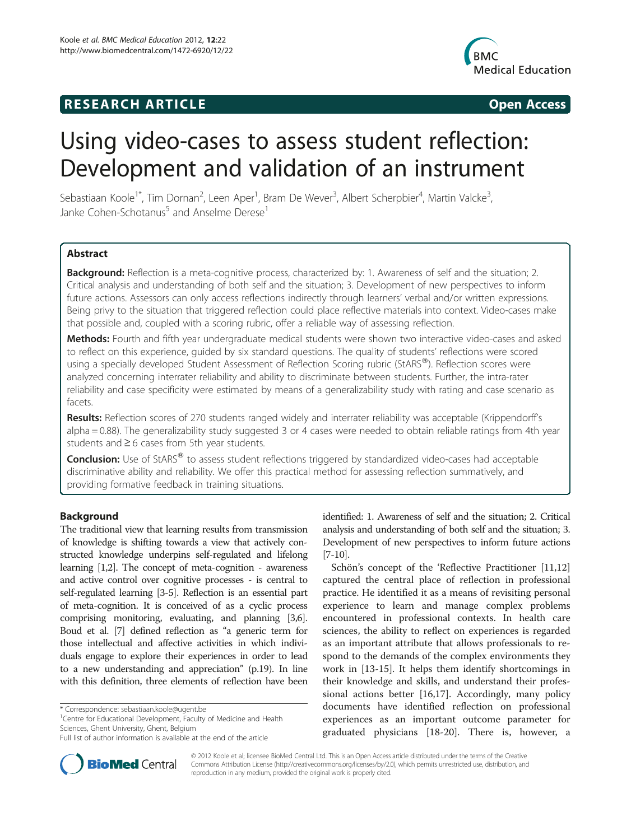## **RESEARCH ARTICLE Example 2018 12:00 Open Access**



# Using video-cases to assess student reflection: Development and validation of an instrument

Sebastiaan Koole<sup>1\*</sup>, Tim Dornan<sup>2</sup>, Leen Aper<sup>1</sup>, Bram De Wever<sup>3</sup>, Albert Scherpbier<sup>4</sup>, Martin Valcke<sup>3</sup> , Janke Cohen-Schotanus<sup>5</sup> and Anselme Derese<sup>1</sup>

## Abstract

Background: Reflection is a meta-cognitive process, characterized by: 1. Awareness of self and the situation; 2. Critical analysis and understanding of both self and the situation; 3. Development of new perspectives to inform future actions. Assessors can only access reflections indirectly through learners' verbal and/or written expressions. Being privy to the situation that triggered reflection could place reflective materials into context. Video-cases make that possible and, coupled with a scoring rubric, offer a reliable way of assessing reflection.

Methods: Fourth and fifth year undergraduate medical students were shown two interactive video-cases and asked to reflect on this experience, guided by six standard questions. The quality of students' reflections were scored using a specially developed Student Assessment of Reflection Scoring rubric (StARS®). Reflection scores were analyzed concerning interrater reliability and ability to discriminate between students. Further, the intra-rater reliability and case specificity were estimated by means of a generalizability study with rating and case scenario as facets.

Results: Reflection scores of 270 students ranged widely and interrater reliability was acceptable (Krippendorff's alpha = 0.88). The generalizability study suggested 3 or 4 cases were needed to obtain reliable ratings from 4th year students and ≥ 6 cases from 5th year students.

**Conclusion:** Use of StARS<sup>®</sup> to assess student reflections triggered by standardized video-cases had acceptable discriminative ability and reliability. We offer this practical method for assessing reflection summatively, and providing formative feedback in training situations.

## Background

The traditional view that learning results from transmission of knowledge is shifting towards a view that actively constructed knowledge underpins self-regulated and lifelong learning [\[1,2](#page-6-0)]. The concept of meta-cognition - awareness and active control over cognitive processes - is central to self-regulated learning [\[3-5\]](#page-6-0). Reflection is an essential part of meta-cognition. It is conceived of as a cyclic process comprising monitoring, evaluating, and planning [\[3,6](#page-6-0)]. Boud et al. [\[7](#page-6-0)] defined reflection as "a generic term for those intellectual and affective activities in which individuals engage to explore their experiences in order to lead to a new understanding and appreciation" (p.19). In line with this definition, three elements of reflection have been

<sup>1</sup> Centre for Educational Development, Faculty of Medicine and Health Sciences, Ghent University, Ghent, Belgium



Schön's concept of the 'Reflective Practitioner [[11,12](#page-6-0)] captured the central place of reflection in professional practice. He identified it as a means of revisiting personal experience to learn and manage complex problems encountered in professional contexts. In health care sciences, the ability to reflect on experiences is regarded as an important attribute that allows professionals to respond to the demands of the complex environments they work in [\[13](#page-6-0)-[15](#page-7-0)]. It helps them identify shortcomings in their knowledge and skills, and understand their professional actions better [\[16,17\]](#page-7-0). Accordingly, many policy documents have identified reflection on professional experiences as an important outcome parameter for graduated physicians [[18](#page-7-0)-[20\]](#page-7-0). There is, however, a



© 2012 Koole et al; licensee BioMed Central Ltd. This is an Open Access article distributed under the terms of the Creative Commons Attribution License (http://creativecommons.org/licenses/by/2.0), which permits unrestricted use, distribution, and reproduction in any medium, provided the original work is properly cited.

<sup>\*</sup> Correspondence: [sebastiaan.koole@ugent.be](mailto:sebastiaan.koole@ugent.be) <sup>1</sup>

Full list of author information is available at the end of the article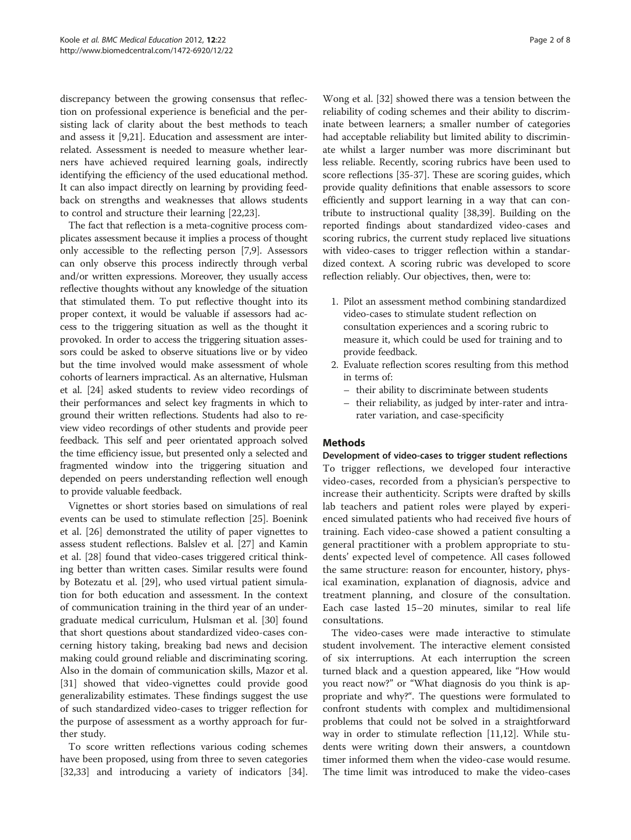discrepancy between the growing consensus that reflection on professional experience is beneficial and the persisting lack of clarity about the best methods to teach and assess it [\[9](#page-6-0)[,21\]](#page-7-0). Education and assessment are interrelated. Assessment is needed to measure whether learners have achieved required learning goals, indirectly identifying the efficiency of the used educational method. It can also impact directly on learning by providing feedback on strengths and weaknesses that allows students to control and structure their learning [[22,23](#page-7-0)].

The fact that reflection is a meta-cognitive process complicates assessment because it implies a process of thought only accessible to the reflecting person [[7,9](#page-6-0)]. Assessors can only observe this process indirectly through verbal and/or written expressions. Moreover, they usually access reflective thoughts without any knowledge of the situation that stimulated them. To put reflective thought into its proper context, it would be valuable if assessors had access to the triggering situation as well as the thought it provoked. In order to access the triggering situation assessors could be asked to observe situations live or by video but the time involved would make assessment of whole cohorts of learners impractical. As an alternative, Hulsman et al. [\[24\]](#page-7-0) asked students to review video recordings of their performances and select key fragments in which to ground their written reflections. Students had also to review video recordings of other students and provide peer feedback. This self and peer orientated approach solved the time efficiency issue, but presented only a selected and fragmented window into the triggering situation and depended on peers understanding reflection well enough to provide valuable feedback.

Vignettes or short stories based on simulations of real events can be used to stimulate reflection [\[25](#page-7-0)]. Boenink et al. [[26\]](#page-7-0) demonstrated the utility of paper vignettes to assess student reflections. Balslev et al. [[27](#page-7-0)] and Kamin et al. [\[28\]](#page-7-0) found that video-cases triggered critical thinking better than written cases. Similar results were found by Botezatu et al. [\[29](#page-7-0)], who used virtual patient simulation for both education and assessment. In the context of communication training in the third year of an undergraduate medical curriculum, Hulsman et al. [\[30\]](#page-7-0) found that short questions about standardized video-cases concerning history taking, breaking bad news and decision making could ground reliable and discriminating scoring. Also in the domain of communication skills, Mazor et al. [[31\]](#page-7-0) showed that video-vignettes could provide good generalizability estimates. These findings suggest the use of such standardized video-cases to trigger reflection for the purpose of assessment as a worthy approach for further study.

To score written reflections various coding schemes have been proposed, using from three to seven categories [[32,33\]](#page-7-0) and introducing a variety of indicators [\[34](#page-7-0)].

Wong et al. [\[32](#page-7-0)] showed there was a tension between the reliability of coding schemes and their ability to discriminate between learners; a smaller number of categories had acceptable reliability but limited ability to discriminate whilst a larger number was more discriminant but less reliable. Recently, scoring rubrics have been used to score reflections [\[35-37](#page-7-0)]. These are scoring guides, which provide quality definitions that enable assessors to score efficiently and support learning in a way that can contribute to instructional quality [[38,39](#page-7-0)]. Building on the reported findings about standardized video-cases and scoring rubrics, the current study replaced live situations with video-cases to trigger reflection within a standardized context. A scoring rubric was developed to score reflection reliably. Our objectives, then, were to:

- 1. Pilot an assessment method combining standardized video-cases to stimulate student reflection on consultation experiences and a scoring rubric to measure it, which could be used for training and to provide feedback.
- 2. Evaluate reflection scores resulting from this method in terms of:
	- their ability to discriminate between students
	- their reliability, as judged by inter-rater and intrarater variation, and case-specificity

## Methods

Development of video-cases to trigger student reflections To trigger reflections, we developed four interactive video-cases, recorded from a physician's perspective to increase their authenticity. Scripts were drafted by skills lab teachers and patient roles were played by experienced simulated patients who had received five hours of training. Each video-case showed a patient consulting a general practitioner with a problem appropriate to students' expected level of competence. All cases followed the same structure: reason for encounter, history, physical examination, explanation of diagnosis, advice and treatment planning, and closure of the consultation. Each case lasted 15–20 minutes, similar to real life consultations.

The video-cases were made interactive to stimulate student involvement. The interactive element consisted of six interruptions. At each interruption the screen turned black and a question appeared, like "How would you react now?" or "What diagnosis do you think is appropriate and why?". The questions were formulated to confront students with complex and multidimensional problems that could not be solved in a straightforward way in order to stimulate reflection [[11,12](#page-6-0)]. While students were writing down their answers, a countdown timer informed them when the video-case would resume. The time limit was introduced to make the video-cases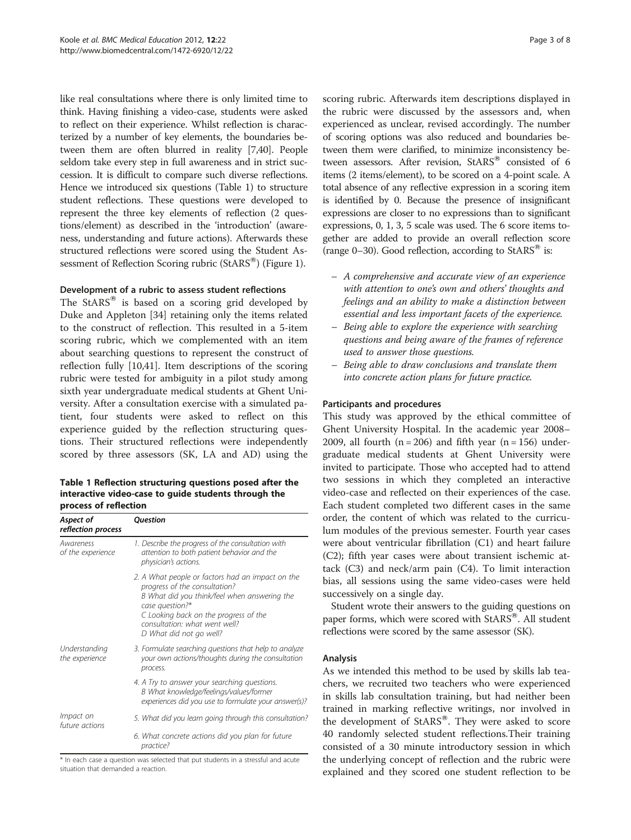like real consultations where there is only limited time to think. Having finishing a video-case, students were asked to reflect on their experience. Whilst reflection is characterized by a number of key elements, the boundaries between them are often blurred in reality [\[7,](#page-6-0)[40](#page-7-0)]. People seldom take every step in full awareness and in strict succession. It is difficult to compare such diverse reflections. Hence we introduced six questions (Table 1) to structure student reflections. These questions were developed to represent the three key elements of reflection (2 questions/element) as described in the 'introduction' (awareness, understanding and future actions). Afterwards these structured reflections were scored using the Student As-sessment of Reflection Scoring rubric (StARS<sup>®</sup>) (Figure [1](#page-3-0)).

#### Development of a rubric to assess student reflections

The  $StARS^{\circledR}$  is based on a scoring grid developed by Duke and Appleton [[34](#page-7-0)] retaining only the items related to the construct of reflection. This resulted in a 5-item scoring rubric, which we complemented with an item about searching questions to represent the construct of reflection fully [\[10](#page-6-0)[,41\]](#page-7-0). Item descriptions of the scoring rubric were tested for ambiguity in a pilot study among sixth year undergraduate medical students at Ghent University. After a consultation exercise with a simulated patient, four students were asked to reflect on this experience guided by the reflection structuring questions. Their structured reflections were independently scored by three assessors (SK, LA and AD) using the

Table 1 Reflection structuring questions posed after the interactive video-case to guide students through the process of reflection

| Aspect of<br>reflection process | Question                                                                                                                                                                                                                                                  |  |  |
|---------------------------------|-----------------------------------------------------------------------------------------------------------------------------------------------------------------------------------------------------------------------------------------------------------|--|--|
| Awareness<br>of the experience  | 1. Describe the progress of the consultation with<br>attention to both patient behavior and the<br>physician's actions.                                                                                                                                   |  |  |
|                                 | 2. A What people or factors had an impact on the<br>progress of the consultation?<br>B What did you think/feel when answering the<br>case question?*<br>C Looking back on the progress of the<br>consultation: what went well?<br>D What did not go well? |  |  |
| Understanding<br>the experience | 3. Formulate searching questions that help to analyze<br>your own actions/thoughts during the consultation<br>process.                                                                                                                                    |  |  |
|                                 | 4. A Try to answer your searching questions.<br>B What knowledge/feelings/values/former<br>experiences did you use to formulate your answer(s)?                                                                                                           |  |  |
| Impact on<br>future actions     | 5. What did you learn going through this consultation?                                                                                                                                                                                                    |  |  |
|                                 | 6. What concrete actions did you plan for future<br>practice?                                                                                                                                                                                             |  |  |

\* In each case a question was selected that put students in a stressful and acute situation that demanded a reaction.

scoring rubric. Afterwards item descriptions displayed in the rubric were discussed by the assessors and, when experienced as unclear, revised accordingly. The number of scoring options was also reduced and boundaries between them were clarified, to minimize inconsistency between assessors. After revision,  $StARS^{\circledast}$  consisted of 6 items (2 items/element), to be scored on a 4-point scale. A total absence of any reflective expression in a scoring item is identified by 0. Because the presence of insignificant expressions are closer to no expressions than to significant expressions, 0, 1, 3, 5 scale was used. The 6 score items together are added to provide an overall reflection score (range 0–30). Good reflection, according to  $StARS^{\circledast}$  is:

- A comprehensive and accurate view of an experience with attention to one's own and others' thoughts and feelings and an ability to make a distinction between essential and less important facets of the experience.
- Being able to explore the experience with searching questions and being aware of the frames of reference used to answer those questions.
- Being able to draw conclusions and translate them into concrete action plans for future practice.

#### Participants and procedures

This study was approved by the ethical committee of Ghent University Hospital. In the academic year 2008– 2009, all fourth  $(n = 206)$  and fifth year  $(n = 156)$  undergraduate medical students at Ghent University were invited to participate. Those who accepted had to attend two sessions in which they completed an interactive video-case and reflected on their experiences of the case. Each student completed two different cases in the same order, the content of which was related to the curriculum modules of the previous semester. Fourth year cases were about ventricular fibrillation (C1) and heart failure (C2); fifth year cases were about transient ischemic attack (C3) and neck/arm pain (C4). To limit interaction bias, all sessions using the same video-cases were held successively on a single day.

Student wrote their answers to the guiding questions on paper forms, which were scored with StARS<sup>®</sup>. All student reflections were scored by the same assessor (SK).

## Analysis

As we intended this method to be used by skills lab teachers, we recruited two teachers who were experienced in skills lab consultation training, but had neither been trained in marking reflective writings, nor involved in the development of  $StARS^@$ . They were asked to score 40 randomly selected student reflections.Their training consisted of a 30 minute introductory session in which the underlying concept of reflection and the rubric were explained and they scored one student reflection to be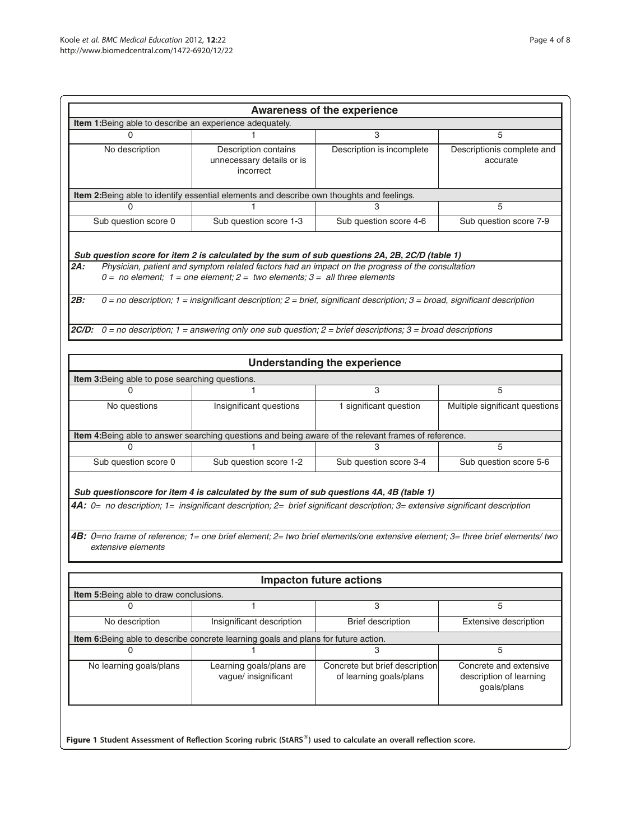<span id="page-3-0"></span>

| <b>Awareness of the experience</b><br>Item 1: Being able to describe an experience adequately.                                                                                                                                                                                           |                                                                                                                                                                                                                                                             |                                                           |                                                                  |  |  |  |  |  |
|------------------------------------------------------------------------------------------------------------------------------------------------------------------------------------------------------------------------------------------------------------------------------------------|-------------------------------------------------------------------------------------------------------------------------------------------------------------------------------------------------------------------------------------------------------------|-----------------------------------------------------------|------------------------------------------------------------------|--|--|--|--|--|
| 0                                                                                                                                                                                                                                                                                        |                                                                                                                                                                                                                                                             | 3                                                         | 5                                                                |  |  |  |  |  |
| No description                                                                                                                                                                                                                                                                           | Description contains<br>unnecessary details or is<br>incorrect                                                                                                                                                                                              | Description is incomplete                                 | Descriptionis complete and<br>accurate                           |  |  |  |  |  |
| Item 2:Being able to identify essential elements and describe own thoughts and feelings.                                                                                                                                                                                                 |                                                                                                                                                                                                                                                             |                                                           |                                                                  |  |  |  |  |  |
| 0                                                                                                                                                                                                                                                                                        |                                                                                                                                                                                                                                                             | 3                                                         | 5                                                                |  |  |  |  |  |
| Sub question score 0                                                                                                                                                                                                                                                                     | Sub question score 1-3                                                                                                                                                                                                                                      | Sub question score 4-6                                    | Sub question score 7-9                                           |  |  |  |  |  |
| Sub question score for item 2 is calculated by the sum of sub questions 2A, 2B, 2C/D (table 1)<br>Physician, patient and symptom related factors had an impact on the progress of the consultation<br>2A:<br>$0 = no$ element; 1 = one element; 2 = two elements; 3 = all three elements |                                                                                                                                                                                                                                                             |                                                           |                                                                  |  |  |  |  |  |
| 2B:                                                                                                                                                                                                                                                                                      | $0 =$ no description; $1 =$ insignificant description; $2 =$ brief, significant description; $3 =$ broad, significant description<br><b>2C/D:</b> $0 =$ no description; 1 = answering only one sub question; 2 = brief descriptions; 3 = broad descriptions |                                                           |                                                                  |  |  |  |  |  |
|                                                                                                                                                                                                                                                                                          |                                                                                                                                                                                                                                                             |                                                           |                                                                  |  |  |  |  |  |
|                                                                                                                                                                                                                                                                                          |                                                                                                                                                                                                                                                             | <b>Understanding the experience</b>                       |                                                                  |  |  |  |  |  |
| Item 3: Being able to pose searching questions.                                                                                                                                                                                                                                          |                                                                                                                                                                                                                                                             |                                                           |                                                                  |  |  |  |  |  |
| U                                                                                                                                                                                                                                                                                        |                                                                                                                                                                                                                                                             | 3                                                         | 5                                                                |  |  |  |  |  |
| No questions                                                                                                                                                                                                                                                                             | Insignificant questions                                                                                                                                                                                                                                     | 1 significant question                                    | Multiple significant questions                                   |  |  |  |  |  |
|                                                                                                                                                                                                                                                                                          |                                                                                                                                                                                                                                                             |                                                           |                                                                  |  |  |  |  |  |
|                                                                                                                                                                                                                                                                                          | Item 4: Being able to answer searching questions and being aware of the relevant frames of reference.                                                                                                                                                       |                                                           |                                                                  |  |  |  |  |  |
| 0                                                                                                                                                                                                                                                                                        | 1.                                                                                                                                                                                                                                                          | 3                                                         | 5                                                                |  |  |  |  |  |
| Sub question score 0                                                                                                                                                                                                                                                                     | Sub question score 1-2                                                                                                                                                                                                                                      | Sub question score 3-4                                    | Sub question score 5-6                                           |  |  |  |  |  |
|                                                                                                                                                                                                                                                                                          | Sub questionscore for item 4 is calculated by the sum of sub questions 4A, 4B (table 1)                                                                                                                                                                     |                                                           |                                                                  |  |  |  |  |  |
|                                                                                                                                                                                                                                                                                          | 4A: 0= no description; 1= insignificant description; 2= brief significant description; 3= extensive significant description                                                                                                                                 |                                                           |                                                                  |  |  |  |  |  |
| extensive elements                                                                                                                                                                                                                                                                       | 4B: 0=no frame of reference; 1= one brief element; 2= two brief elements/one extensive element; 3= three brief elements/two                                                                                                                                 |                                                           |                                                                  |  |  |  |  |  |
|                                                                                                                                                                                                                                                                                          |                                                                                                                                                                                                                                                             | <b>Impacton future actions</b>                            |                                                                  |  |  |  |  |  |
| Item 5: Being able to draw conclusions.                                                                                                                                                                                                                                                  |                                                                                                                                                                                                                                                             |                                                           |                                                                  |  |  |  |  |  |
| U                                                                                                                                                                                                                                                                                        |                                                                                                                                                                                                                                                             | 3                                                         | 5                                                                |  |  |  |  |  |
| No description                                                                                                                                                                                                                                                                           | Insignificant description                                                                                                                                                                                                                                   | Brief description                                         | Extensive description                                            |  |  |  |  |  |
|                                                                                                                                                                                                                                                                                          | Item 6:Being able to describe concrete learning goals and plans for future action.                                                                                                                                                                          |                                                           |                                                                  |  |  |  |  |  |
| U                                                                                                                                                                                                                                                                                        |                                                                                                                                                                                                                                                             | 3                                                         | 5                                                                |  |  |  |  |  |
| No learning goals/plans                                                                                                                                                                                                                                                                  | Learning goals/plans are<br>vague/ insignificant                                                                                                                                                                                                            | Concrete but brief description<br>of learning goals/plans | Concrete and extensive<br>description of learning<br>goals/plans |  |  |  |  |  |
| Figure 1 Student Assessment of Reflection Scoring rubric (StARS®) used to calculate an overall reflection score.                                                                                                                                                                         |                                                                                                                                                                                                                                                             |                                                           |                                                                  |  |  |  |  |  |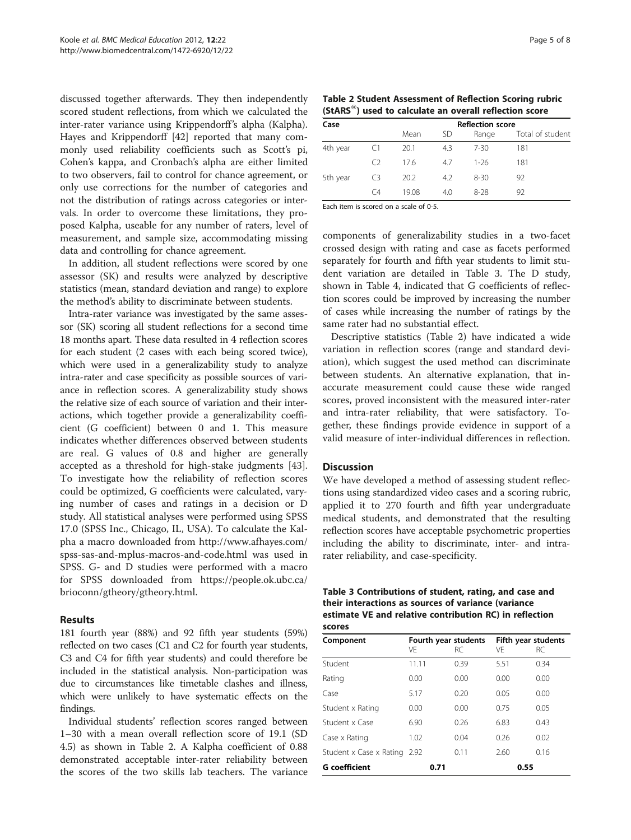discussed together afterwards. They then independently scored student reflections, from which we calculated the inter-rater variance using Krippendorff's alpha (Kalpha). Hayes and Krippendorff [\[42](#page-7-0)] reported that many commonly used reliability coefficients such as Scott's pi, Cohen's kappa, and Cronbach's alpha are either limited to two observers, fail to control for chance agreement, or only use corrections for the number of categories and not the distribution of ratings across categories or intervals. In order to overcome these limitations, they proposed Kalpha, useable for any number of raters, level of measurement, and sample size, accommodating missing data and controlling for chance agreement.

In addition, all student reflections were scored by one assessor (SK) and results were analyzed by descriptive statistics (mean, standard deviation and range) to explore the method's ability to discriminate between students.

Intra-rater variance was investigated by the same assessor (SK) scoring all student reflections for a second time 18 months apart. These data resulted in 4 reflection scores for each student (2 cases with each being scored twice), which were used in a generalizability study to analyze intra-rater and case specificity as possible sources of variance in reflection scores. A generalizability study shows the relative size of each source of variation and their interactions, which together provide a generalizability coefficient (G coefficient) between 0 and 1. This measure indicates whether differences observed between students are real. G values of 0.8 and higher are generally accepted as a threshold for high-stake judgments [\[43](#page-7-0)]. To investigate how the reliability of reflection scores could be optimized, G coefficients were calculated, varying number of cases and ratings in a decision or D study. All statistical analyses were performed using SPSS 17.0 (SPSS Inc., Chicago, IL, USA). To calculate the Kalpha a macro downloaded from [http://www.afhayes.com/](http://www.afhayes.com/spss-sas-and-mplus-macros-and-code.html) [spss-sas-and-mplus-macros-and-code.html](http://www.afhayes.com/spss-sas-and-mplus-macros-and-code.html) was used in SPSS. G- and D studies were performed with a macro for SPSS downloaded from [https://people.ok.ubc.ca/](https://people.ok.ubc.ca/brioconn/gtheory/gtheory.html) [brioconn/gtheory/gtheory.html](https://people.ok.ubc.ca/brioconn/gtheory/gtheory.html).

## Results

181 fourth year (88%) and 92 fifth year students (59%) reflected on two cases (C1 and C2 for fourth year students, C3 and C4 for fifth year students) and could therefore be included in the statistical analysis. Non-participation was due to circumstances like timetable clashes and illness, which were unlikely to have systematic effects on the findings.

Individual students' reflection scores ranged between 1–30 with a mean overall reflection score of 19.1 (SD 4.5) as shown in Table 2. A Kalpha coefficient of 0.88 demonstrated acceptable inter-rater reliability between the scores of the two skills lab teachers. The variance

| Table 2 Student Assessment of Reflection Scoring rubric             |  |
|---------------------------------------------------------------------|--|
| (StARS <sup>®</sup> ) used to calculate an overall reflection score |  |

| Case     |                | <b>Reflection score</b> |     |          |                  |  |  |
|----------|----------------|-------------------------|-----|----------|------------------|--|--|
|          |                | Mean                    | SD  | Range    | Total of student |  |  |
| 4th year | C <sub>1</sub> | 20.1                    | 4.3 | 7-30     | 181              |  |  |
|          | CЭ             | 176                     | 47  | 1-26     | 181              |  |  |
| 5th year | C3             | 20.2                    | 4.2 | $8 - 30$ | 92               |  |  |
|          | Γ4             | 1908                    | 40  | $8-28$   | 92               |  |  |

Each item is scored on a scale of 0-5.

components of generalizability studies in a two-facet crossed design with rating and case as facets performed separately for fourth and fifth year students to limit student variation are detailed in Table 3. The D study, shown in Table [4](#page-5-0), indicated that G coefficients of reflection scores could be improved by increasing the number of cases while increasing the number of ratings by the same rater had no substantial effect.

Descriptive statistics (Table 2) have indicated a wide variation in reflection scores (range and standard deviation), which suggest the used method can discriminate between students. An alternative explanation, that inaccurate measurement could cause these wide ranged scores, proved inconsistent with the measured inter-rater and intra-rater reliability, that were satisfactory. Together, these findings provide evidence in support of a valid measure of inter-individual differences in reflection.

## **Discussion**

We have developed a method of assessing student reflections using standardized video cases and a scoring rubric, applied it to 270 fourth and fifth year undergraduate medical students, and demonstrated that the resulting reflection scores have acceptable psychometric properties including the ability to discriminate, inter- and intrarater reliability, and case-specificity.

| Table 3 Contributions of student, rating, and case and  |
|---------------------------------------------------------|
| their interactions as sources of variance (variance     |
| estimate VE and relative contribution RC) in reflection |
| scores                                                  |

| Component                    | VE    | Fourth year students<br>RC. | Fifth year students<br>VF<br>RC. |      |  |
|------------------------------|-------|-----------------------------|----------------------------------|------|--|
| Student                      | 11.11 | 0.39                        | 5.51                             | 0.34 |  |
| Rating                       | 0.00  | 0.00                        | 0.00                             | 0.00 |  |
| Case                         | 5.17  | 0.20                        | 0.05                             | 0.00 |  |
| Student x Rating             | 0.00  | 0.00                        | 0.75                             | 0.05 |  |
| Student x Case               | 6.90  | 0.26                        | 6.83                             | 0.43 |  |
| Case x Rating                | 1.02  | 0.04                        | 0.26                             | 0.02 |  |
| Student x Case x Rating 2.92 |       | 0.11                        | 2.60                             | 0.16 |  |
| <b>G</b> coefficient         |       | 0.71                        |                                  | 0.55 |  |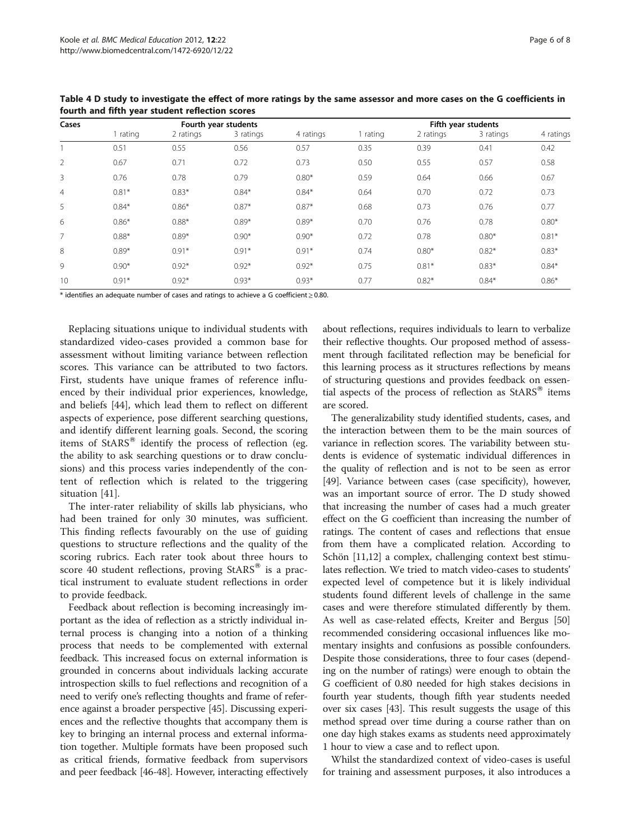| Cases          | Fourth year students |           |           |           |          | Fifth year students |           |           |  |
|----------------|----------------------|-----------|-----------|-----------|----------|---------------------|-----------|-----------|--|
|                | 1 rating             | 2 ratings | 3 ratings | 4 ratings | 1 rating | 2 ratings           | 3 ratings | 4 ratings |  |
|                | 0.51                 | 0.55      | 0.56      | 0.57      | 0.35     | 0.39                | 0.41      | 0.42      |  |
| 2              | 0.67                 | 0.71      | 0.72      | 0.73      | 0.50     | 0.55                | 0.57      | 0.58      |  |
| 3              | 0.76                 | 0.78      | 0.79      | $0.80*$   | 0.59     | 0.64                | 0.66      | 0.67      |  |
| $\overline{4}$ | $0.81*$              | $0.83*$   | $0.84*$   | $0.84*$   | 0.64     | 0.70                | 0.72      | 0.73      |  |
| 5              | $0.84*$              | $0.86*$   | $0.87*$   | $0.87*$   | 0.68     | 0.73                | 0.76      | 0.77      |  |
| 6              | $0.86*$              | $0.88*$   | $0.89*$   | $0.89*$   | 0.70     | 0.76                | 0.78      | $0.80*$   |  |
|                | $0.88*$              | $0.89*$   | $0.90*$   | $0.90*$   | 0.72     | 0.78                | $0.80*$   | $0.81*$   |  |
| 8              | $0.89*$              | $0.91*$   | $0.91*$   | $0.91*$   | 0.74     | $0.80*$             | $0.82*$   | $0.83*$   |  |
| 9              | $0.90*$              | $0.92*$   | $0.92*$   | $0.92*$   | 0.75     | $0.81*$             | $0.83*$   | $0.84*$   |  |
| 10             | $0.91*$              | $0.92*$   | $0.93*$   | $0.93*$   | 0.77     | $0.82*$             | $0.84*$   | $0.86*$   |  |

<span id="page-5-0"></span>Table 4 D study to investigate the effect of more ratings by the same assessor and more cases on the G coefficients in fourth and fifth year student reflection scores

\* identifies an adequate number of cases and ratings to achieve a G coefficient ≥ 0.80.

Replacing situations unique to individual students with standardized video-cases provided a common base for assessment without limiting variance between reflection scores. This variance can be attributed to two factors. First, students have unique frames of reference influenced by their individual prior experiences, knowledge, and beliefs [\[44\]](#page-7-0), which lead them to reflect on different aspects of experience, pose different searching questions, and identify different learning goals. Second, the scoring items of  $StARS^{\circledast}$  identify the process of reflection (eg. the ability to ask searching questions or to draw conclusions) and this process varies independently of the content of reflection which is related to the triggering situation [\[41\]](#page-7-0).

The inter-rater reliability of skills lab physicians, who had been trained for only 30 minutes, was sufficient. This finding reflects favourably on the use of guiding questions to structure reflections and the quality of the scoring rubrics. Each rater took about three hours to score 40 student reflections, proving  $StARS^{\otimes}$  is a practical instrument to evaluate student reflections in order to provide feedback.

Feedback about reflection is becoming increasingly important as the idea of reflection as a strictly individual internal process is changing into a notion of a thinking process that needs to be complemented with external feedback. This increased focus on external information is grounded in concerns about individuals lacking accurate introspection skills to fuel reflections and recognition of a need to verify one's reflecting thoughts and frame of reference against a broader perspective [[45](#page-7-0)]. Discussing experiences and the reflective thoughts that accompany them is key to bringing an internal process and external information together. Multiple formats have been proposed such as critical friends, formative feedback from supervisors and peer feedback [\[46-48\]](#page-7-0). However, interacting effectively

about reflections, requires individuals to learn to verbalize their reflective thoughts. Our proposed method of assessment through facilitated reflection may be beneficial for this learning process as it structures reflections by means of structuring questions and provides feedback on essential aspects of the process of reflection as  $StARS^{\circledast}$  items are scored.

The generalizability study identified students, cases, and the interaction between them to be the main sources of variance in reflection scores. The variability between students is evidence of systematic individual differences in the quality of reflection and is not to be seen as error [[49](#page-7-0)]. Variance between cases (case specificity), however, was an important source of error. The D study showed that increasing the number of cases had a much greater effect on the G coefficient than increasing the number of ratings. The content of cases and reflections that ensue from them have a complicated relation. According to Schön [\[11,12](#page-6-0)] a complex, challenging context best stimulates reflection. We tried to match video-cases to students' expected level of competence but it is likely individual students found different levels of challenge in the same cases and were therefore stimulated differently by them. As well as case-related effects, Kreiter and Bergus [[50](#page-7-0)] recommended considering occasional influences like momentary insights and confusions as possible confounders. Despite those considerations, three to four cases (depending on the number of ratings) were enough to obtain the G coefficient of 0.80 needed for high stakes decisions in fourth year students, though fifth year students needed over six cases [[43](#page-7-0)]. This result suggests the usage of this method spread over time during a course rather than on one day high stakes exams as students need approximately 1 hour to view a case and to reflect upon.

Whilst the standardized context of video-cases is useful for training and assessment purposes, it also introduces a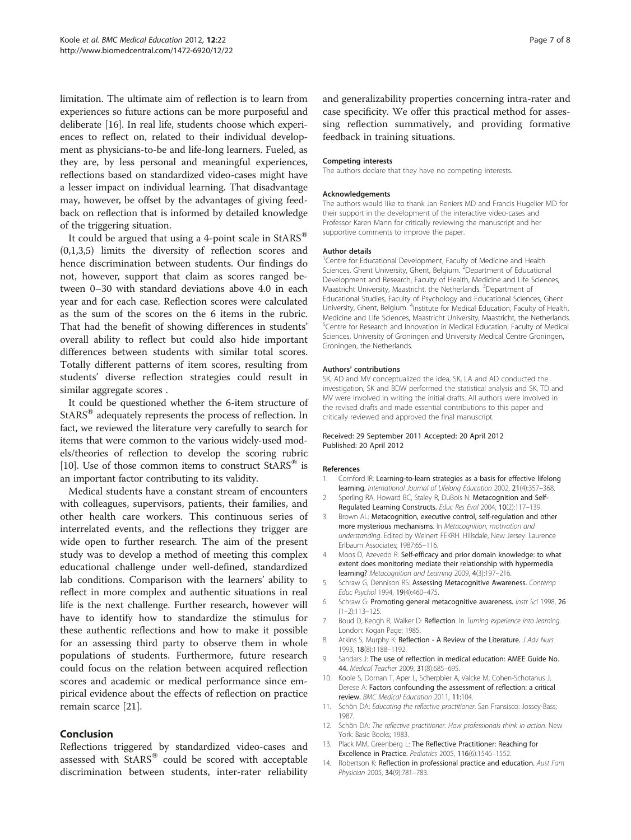<span id="page-6-0"></span>limitation. The ultimate aim of reflection is to learn from experiences so future actions can be more purposeful and deliberate [\[16\]](#page-7-0). In real life, students choose which experiences to reflect on, related to their individual development as physicians-to-be and life-long learners. Fueled, as they are, by less personal and meaningful experiences, reflections based on standardized video-cases might have a lesser impact on individual learning. That disadvantage may, however, be offset by the advantages of giving feedback on reflection that is informed by detailed knowledge of the triggering situation.

It could be argued that using a 4-point scale in  $StARS^{\circledast}$ (0,1,3,5) limits the diversity of reflection scores and hence discrimination between students. Our findings do not, however, support that claim as scores ranged between 0–30 with standard deviations above 4.0 in each year and for each case. Reflection scores were calculated as the sum of the scores on the 6 items in the rubric. That had the benefit of showing differences in students' overall ability to reflect but could also hide important differences between students with similar total scores. Totally different patterns of item scores, resulting from students' diverse reflection strategies could result in similar aggregate scores .

It could be questioned whether the 6-item structure of  $StARS^{\circledast}$  adequately represents the process of reflection. In fact, we reviewed the literature very carefully to search for items that were common to the various widely-used models/theories of reflection to develop the scoring rubric [10]. Use of those common items to construct  $StARS^{\otimes}$  is an important factor contributing to its validity.

Medical students have a constant stream of encounters with colleagues, supervisors, patients, their families, and other health care workers. This continuous series of interrelated events, and the reflections they trigger are wide open to further research. The aim of the present study was to develop a method of meeting this complex educational challenge under well-defined, standardized lab conditions. Comparison with the learners' ability to reflect in more complex and authentic situations in real life is the next challenge. Further research, however will have to identify how to standardize the stimulus for these authentic reflections and how to make it possible for an assessing third party to observe them in whole populations of students. Furthermore, future research could focus on the relation between acquired reflection scores and academic or medical performance since empirical evidence about the effects of reflection on practice remain scarce [\[21\]](#page-7-0).

## Conclusion

Reflections triggered by standardized video-cases and assessed with StARS® could be scored with acceptable discrimination between students, inter-rater reliability and generalizability properties concerning intra-rater and case specificity. We offer this practical method for assessing reflection summatively, and providing formative feedback in training situations.

#### Competing interests

The authors declare that they have no competing interests.

#### Acknowledgements

The authors would like to thank Jan Reniers MD and Francis Hugelier MD for their support in the development of the interactive video-cases and Professor Karen Mann for critically reviewing the manuscript and her supportive comments to improve the paper.

#### Author details

<sup>1</sup> Centre for Educational Development, Faculty of Medicine and Health Sciences, Ghent University, Ghent, Belgium. <sup>2</sup> Department of Educational Development and Research, Faculty of Health, Medicine and Life Sciences, Maastricht University, Maastricht, the Netherlands. <sup>3</sup>Department of Educational Studies, Faculty of Psychology and Educational Sciences, Ghent University, Ghent, Belgium. <sup>4</sup>Institute for Medical Education, Faculty of Health Medicine and Life Sciences, Maastricht University, Maastricht, the Netherlands. <sup>5</sup>Centre for Research and Innovation in Medical Education, Faculty of Medical Sciences, University of Groningen and University Medical Centre Groningen, Groningen, the Netherlands.

#### Authors' contributions

SK, AD and MV conceptualized the idea, SK, LA and AD conducted the investigation, SK and BDW performed the statistical analysis and SK, TD and MV were involved in writing the initial drafts. All authors were involved in the revised drafts and made essential contributions to this paper and critically reviewed and approved the final manuscript.

#### Received: 29 September 2011 Accepted: 20 April 2012 Published: 20 April 2012

#### References

- 1. Cornford IR: Learning-to-learn strategies as a basis for effective lifelong learning. International Journal of Lifelong Education 2002, 21(4):357–368.
- 2. Sperling RA, Howard BC, Staley R, DuBois N: Metacognition and Self-Regulated Learning Constructs. Educ Res Eval 2004, 10(2):117–139.
- 3. Brown AL: Metacognition, executive control, self-regulation and other more mysterious mechanisms. In Metacognition, motivation and understanding. Edited by Weinert FEKRH. Hillsdale, New Jersey: Laurence Erlbaum Associates; 1987:65–116.
- 4. Moos D, Azevedo R: Self-efficacy and prior domain knowledge: to what extent does monitoring mediate their relationship with hypermedia learning? Metacognition and Learning 2009, 4(3):197–216.
- 5. Schraw G, Dennison RS: Assessing Metacognitive Awareness. Contemp Educ Psychol 1994, 19(4):460–475.
- 6. Schraw G: Promoting general metacognitive awareness. Instr Sci 1998, 26  $(1-2)$  $\cdot$ 113–125
- Boud D, Keogh R, Walker D: Reflection. In Turning experience into learning. London: Kogan Page; 1985.
- 8. Atkins S, Murphy K: Reflection A Review of the Literature. J Adv Nurs 1993, 18(8):1188–1192.
- 9. Sandars J: The use of reflection in medical education: AMEE Guide No. 44. Medical Teacher 2009, 31(8):685–695.
- 10. Koole S, Dornan T, Aper L, Scherpbier A, Valcke M, Cohen-Schotanus J, Derese A: Factors confounding the assessment of reflection: a critical review. BMC Medical Education 2011, 11:104.
- 11. Schön DA: Educating the reflective practitioner. San Fransisco: Jossey-Bass; 1987.
- 12. Schön DA: The reflective practitioner: How professionals think in action. New York: Basic Books; 1983.
- 13. Plack MM, Greenberg L: The Reflective Practitioner: Reaching for Excellence in Practice. Pediatrics 2005, 116(6):1546–1552.
- 14. Robertson K: Reflection in professional practice and education. Aust Fam Physician 2005, 34(9):781–783.